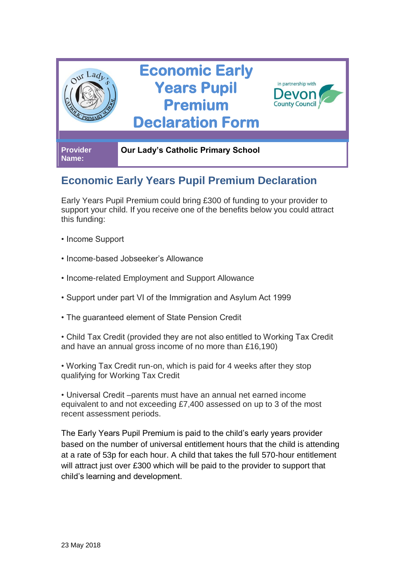

## **Economic Early Years Pupil Premium Declaration**

Early Years Pupil Premium could bring £300 of funding to your provider to support your child. If you receive one of the benefits below you could attract this funding:

- Income Support
- Income-based Jobseeker's Allowance
- Income-related Employment and Support Allowance
- Support under part VI of the Immigration and Asylum Act 1999
- The guaranteed element of State Pension Credit

• Child Tax Credit (provided they are not also entitled to Working Tax Credit and have an annual gross income of no more than £16,190)

• Working Tax Credit run-on, which is paid for 4 weeks after they stop qualifying for Working Tax Credit

• Universal Credit –parents must have an annual net earned income equivalent to and not exceeding £7,400 assessed on up to 3 of the most recent assessment periods.

The Early Years Pupil Premium is paid to the child's early years provider based on the number of universal entitlement hours that the child is attending at a rate of 53p for each hour. A child that takes the full 570-hour entitlement will attract just over £300 which will be paid to the provider to support that child's learning and development.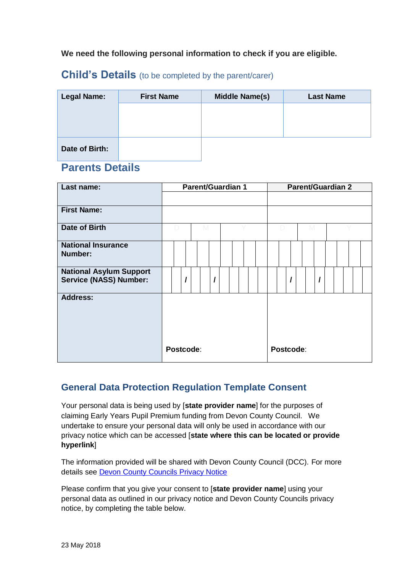**We need the following personal information to check if you are eligible.**

## **Child's Details** (to be completed by the parent/carer)

| <b>Legal Name:</b> | <b>First Name</b> | <b>Middle Name(s)</b> | <b>Last Name</b> |  |  |  |  |  |  |
|--------------------|-------------------|-----------------------|------------------|--|--|--|--|--|--|
|                    |                   |                       |                  |  |  |  |  |  |  |
|                    |                   |                       |                  |  |  |  |  |  |  |
|                    |                   |                       |                  |  |  |  |  |  |  |
| Date of Birth:     |                   |                       |                  |  |  |  |  |  |  |

## **Parents Details**

| Last name:                                                      | <b>Parent/Guardian 1</b> |  |   |  |  |  |  |           | <b>Parent/Guardian 2</b> |  |  |   |  |  |  |  |  |  |  |  |  |
|-----------------------------------------------------------------|--------------------------|--|---|--|--|--|--|-----------|--------------------------|--|--|---|--|--|--|--|--|--|--|--|--|
|                                                                 |                          |  |   |  |  |  |  |           |                          |  |  |   |  |  |  |  |  |  |  |  |  |
| <b>First Name:</b>                                              |                          |  |   |  |  |  |  |           |                          |  |  |   |  |  |  |  |  |  |  |  |  |
| Date of Birth                                                   |                          |  | M |  |  |  |  |           |                          |  |  | M |  |  |  |  |  |  |  |  |  |
| <b>National Insurance</b><br>Number:                            |                          |  |   |  |  |  |  |           |                          |  |  |   |  |  |  |  |  |  |  |  |  |
| <b>National Asylum Support</b><br><b>Service (NASS) Number:</b> |                          |  |   |  |  |  |  |           |                          |  |  |   |  |  |  |  |  |  |  |  |  |
| <b>Address:</b>                                                 |                          |  |   |  |  |  |  |           |                          |  |  |   |  |  |  |  |  |  |  |  |  |
|                                                                 | Postcode:                |  |   |  |  |  |  | Postcode: |                          |  |  |   |  |  |  |  |  |  |  |  |  |

## **General Data Protection Regulation Template Consent**

Your personal data is being used by [**state provider name**] for the purposes of claiming Early Years Pupil Premium funding from Devon County Council. We undertake to ensure your personal data will only be used in accordance with our privacy notice which can be accessed [**state where this can be located or provide hyperlink**]

The information provided will be shared with Devon County Council (DCC). For more details see [Devon County Councils Privacy Notice](https://new.devon.gov.uk/privacy/privacy-notices/privacy-notice-for-early-years/)

Please confirm that you give your consent to [**state provider name**] using your personal data as outlined in our privacy notice and Devon County Councils privacy notice, by completing the table below.